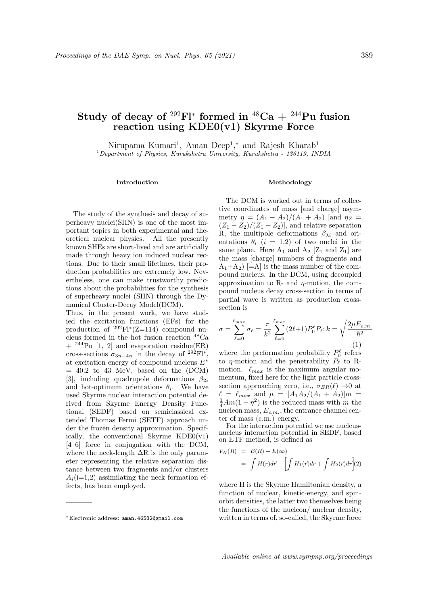# Study of decay of <sup>292</sup>Fl<sup>\*</sup> formed in <sup>48</sup>Ca + <sup>244</sup>Pu fusion reaction using KDE0(v1) Skyrme Force

Nirupama Kumari<sup>1</sup>, Aman Deep<sup>1</sup>,<sup>\*</sup> and Rajesh Kharab<sup>1</sup> <sup>1</sup>Department of Physics, Kurukshetra University, Kurukshetra - 136119, INDIA

#### Introduction

The study of the synthesis and decay of superheavy nuclei(SHN) is one of the most important topics in both experimental and theoretical nuclear physics. All the presently known SHEs are short-lived and are artificially made through heavy ion induced nuclear rections. Due to their small lifetimes, their production probabilities are extremely low. Nevertheless, one can make trustworthy predictions about the probabilities for the synthesis of superheavy nuclei (SHN) through the Dynamical Cluster-Decay Model(DCM).

Thus, in the present work, we have studied the excitation functions (EFs) for the production of  $^{292}$ Fl<sup>\*</sup>(Z=114) compound nucleus formed in the hot fusion reaction <sup>48</sup>Ca  $+$  <sup>244</sup>Pu [1, 2] and evaporation residue(ER) cross-sections  $\sigma_{3n-4n}$  in the decay of <sup>292</sup>Fl<sup>\*</sup>, at excitation energy of compound nucleus  $E^\ast$  $= 40.2$  to 43 MeV, based on the (DCM) [3], including quadrupole deformations  $\beta_{2i}$ and hot-optimum orientations  $\theta_i$ . We have used Skyrme nuclear interaction potential derived from Skyrme Energy Density Functional (SEDF) based on semiclassical extended Thomas Fermi (SETF) approach under the frozen density approximation. Specifically, the conventional Skyrme  $KDE0(v1)$ [4–6] force in conjugation with the DCM, where the neck-length  $\Delta R$  is the only parameter representing the relative separation distance between two fragments and/or clusters  $A_i(i=1,2)$  assimilating the neck formation effects, has been employed.

### Methodology

The DCM is worked out in terms of collective coordinates of mass [and charge] asymmetry  $\eta = (A_1 - A_2)/(A_1 + A_2)$  [and  $\eta_Z$  =  $(Z_1 - Z_2)/(Z_1 + Z_2)$ , and relative separation R, the multipole deformations  $\beta_{\lambda i}$  and orientations  $\theta_i$  (i = 1,2) of two nuclei in the same plane. Here  $A_1$  and  $A_2$  [Z<sub>1</sub> and Z<sub>1</sub>] are the mass [charge] numbers of fragments and  $A_1+A_2$  [=A] is the mass number of the compound nucleus. In the DCM, using decoupled approximation to R- and  $\eta$ -motion, the compound nucleus decay cross-section in terms of partial wave is written as production crosssection is

$$
\sigma = \sum_{\ell=0}^{\ell_{max}} \sigma_{\ell} = \frac{\pi}{k^2} \sum_{\ell=0}^{\ell_{max}} (2\ell+1) P_0^{\ell} P_{\ell}; k = \sqrt{\frac{2\mu E_{c.m.}}{\hbar^2}} \tag{1}
$$

where the preformation probability  $P_0^{\ell}$  refers to  $\eta$ -motion and the penetrability  $P_{\ell}$  to Rmotion.  $\ell_{max}$  is the maximum angular momentum, fixed here for the light particle crosssection approaching zero, i.e.,  $\sigma_{ER}(\ell) \rightarrow 0$  at  $\ell = \ell_{max}$  and  $\mu = [A_1A_2/(A_1 + A_2)]m =$  $\frac{1}{4}Am(1-\eta^2)$  is the reduced mass with m the nucleon mass,  $E_{c.m.}$ , the entrance channel center of mass (c.m.) energy.

For the interaction potential we use nucleusnucleus interaction potential in SEDF, based on ETF method, is defined as

$$
V_N(R) = E(R) - E(\infty)
$$
  
= 
$$
\int H(\vec{r})d\vec{r} - \left[ \int H_1(\vec{r})d\vec{r} + \int H_2(\vec{r})d\vec{r} \right](2)
$$

where H is the Skyrme Hamiltonian density, a function of nuclear, kinetic-energy, and spinorbit densities, the latter two themselves being the functions of the nucleon/ nuclear density, written in terms of, so-called, the Skyrme force

<sup>∗</sup>Electronic address: aman.46582@gmail.com